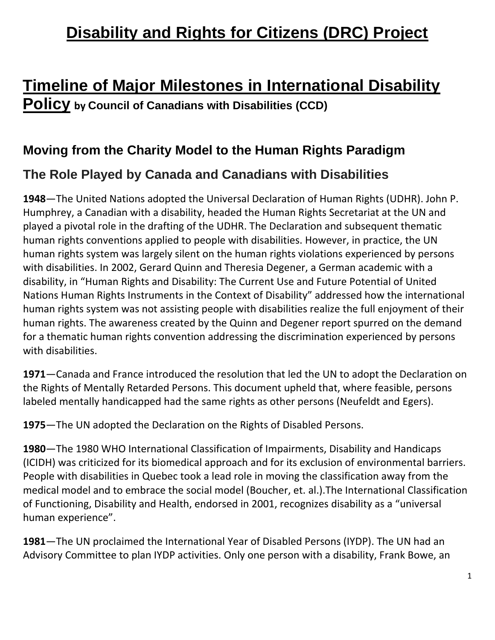## **Disability and Rights for Citizens (DRC) Project**

# **Timeline of Major Milestones in International Disability**

**Policy by Council of Canadians with Disabilities (CCD)**

### **Moving from the Charity Model to the Human Rights Paradigm**

### **The Role Played by Canada and Canadians with Disabilities**

**1948**—The United Nations adopted the Universal Declaration of Human Rights (UDHR). John P. Humphrey, a Canadian with a disability, headed the Human Rights Secretariat at the UN and played a pivotal role in the drafting of the UDHR. The Declaration and subsequent thematic human rights conventions applied to people with disabilities. However, in practice, the UN human rights system was largely silent on the human rights violations experienced by persons with disabilities. In 2002, Gerard Quinn and Theresia Degener, a German academic with a disability, in "Human Rights and Disability: The Current Use and Future Potential of United Nations Human Rights Instruments in the Context of Disability" addressed how the international human rights system was not assisting people with disabilities realize the full enjoyment of their human rights. The awareness created by the Quinn and Degener report spurred on the demand for a thematic human rights convention addressing the discrimination experienced by persons with disabilities.

**1971**—Canada and France introduced the resolution that led the UN to adopt the Declaration on the Rights of Mentally Retarded Persons. This document upheld that, where feasible, persons labeled mentally handicapped had the same rights as other persons (Neufeldt and Egers).

**1975**—The UN adopted the Declaration on the Rights of Disabled Persons.

**1980**—The 1980 WHO International Classification of Impairments, Disability and Handicaps (ICIDH) was criticized for its biomedical approach and for its exclusion of environmental barriers. People with disabilities in Quebec took a lead role in moving the classification away from the medical model and to embrace the social model (Boucher, et. al.).The International Classification of Functioning, Disability and Health, endorsed in 2001, recognizes disability as a "universal human experience".

**1981**—The UN proclaimed the International Year of Disabled Persons (IYDP). The UN had an Advisory Committee to plan IYDP activities. Only one person with a disability, Frank Bowe, an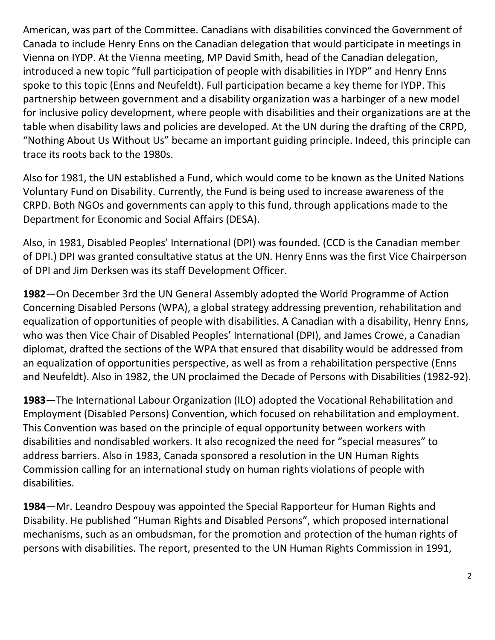American, was part of the Committee. Canadians with disabilities convinced the Government of Canada to include Henry Enns on the Canadian delegation that would participate in meetings in Vienna on IYDP. At the Vienna meeting, MP David Smith, head of the Canadian delegation, introduced a new topic "full participation of people with disabilities in IYDP" and Henry Enns spoke to this topic (Enns and Neufeldt). Full participation became a key theme for IYDP. This partnership between government and a disability organization was a harbinger of a new model for inclusive policy development, where people with disabilities and their organizations are at the table when disability laws and policies are developed. At the UN during the drafting of the CRPD, "Nothing About Us Without Us" became an important guiding principle. Indeed, this principle can trace its roots back to the 1980s.

Also for 1981, the UN established a Fund, which would come to be known as the United Nations Voluntary Fund on Disability. Currently, the Fund is being used to increase awareness of the CRPD. Both NGOs and governments can apply to this fund, through applications made to the Department for Economic and Social Affairs (DESA).

Also, in 1981, Disabled Peoples' International (DPI) was founded. (CCD is the Canadian member of DPI.) DPI was granted consultative status at the UN. Henry Enns was the first Vice Chairperson of DPI and Jim Derksen was its staff Development Officer.

**1982**—On December 3rd the UN General Assembly adopted the World Programme of Action Concerning Disabled Persons (WPA), a global strategy addressing prevention, rehabilitation and equalization of opportunities of people with disabilities. A Canadian with a disability, Henry Enns, who was then Vice Chair of Disabled Peoples' International (DPI), and James Crowe, a Canadian diplomat, drafted the sections of the WPA that ensured that disability would be addressed from an equalization of opportunities perspective, as well as from a rehabilitation perspective (Enns and Neufeldt). Also in 1982, the UN proclaimed the Decade of Persons with Disabilities (1982-92).

**1983**—The International Labour Organization (ILO) adopted the Vocational Rehabilitation and Employment (Disabled Persons) Convention, which focused on rehabilitation and employment. This Convention was based on the principle of equal opportunity between workers with disabilities and nondisabled workers. It also recognized the need for "special measures" to address barriers. Also in 1983, Canada sponsored a resolution in the UN Human Rights Commission calling for an international study on human rights violations of people with disabilities.

**1984**—Mr. Leandro Despouy was appointed the Special Rapporteur for Human Rights and Disability. He published "Human Rights and Disabled Persons", which proposed international mechanisms, such as an ombudsman, for the promotion and protection of the human rights of persons with disabilities. The report, presented to the UN Human Rights Commission in 1991,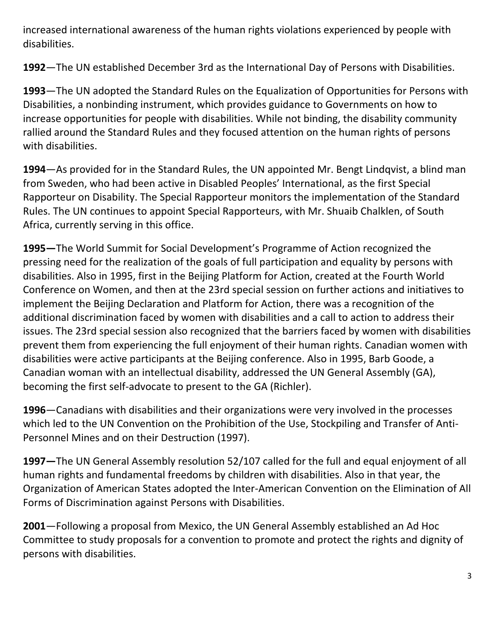increased international awareness of the human rights violations experienced by people with disabilities.

**1992**—The UN established December 3rd as the International Day of Persons with Disabilities.

**1993**—The UN adopted the Standard Rules on the Equalization of Opportunities for Persons with Disabilities, a nonbinding instrument, which provides guidance to Governments on how to increase opportunities for people with disabilities. While not binding, the disability community rallied around the Standard Rules and they focused attention on the human rights of persons with disabilities.

**1994**—As provided for in the Standard Rules, the UN appointed Mr. Bengt Lindqvist, a blind man from Sweden, who had been active in Disabled Peoples' International, as the first Special Rapporteur on Disability. The Special Rapporteur monitors the implementation of the Standard Rules. The UN continues to appoint Special Rapporteurs, with Mr. Shuaib Chalklen, of South Africa, currently serving in this office.

**1995—**The World Summit for Social Development's Programme of Action recognized the pressing need for the realization of the goals of full participation and equality by persons with disabilities. Also in 1995, first in the Beijing Platform for Action, created at the Fourth World Conference on Women, and then at the 23rd special session on further actions and initiatives to implement the Beijing Declaration and Platform for Action, there was a recognition of the additional discrimination faced by women with disabilities and a call to action to address their issues. The 23rd special session also recognized that the barriers faced by women with disabilities prevent them from experiencing the full enjoyment of their human rights. Canadian women with disabilities were active participants at the Beijing conference. Also in 1995, Barb Goode, a Canadian woman with an intellectual disability, addressed the UN General Assembly (GA), becoming the first self-advocate to present to the GA (Richler).

**1996**—Canadians with disabilities and their organizations were very involved in the processes which led to the UN Convention on the Prohibition of the Use, Stockpiling and Transfer of Anti-Personnel Mines and on their Destruction (1997).

**1997—**The UN General Assembly resolution 52/107 called for the full and equal enjoyment of all human rights and fundamental freedoms by children with disabilities. Also in that year, the Organization of American States adopted the Inter-American Convention on the Elimination of All Forms of Discrimination against Persons with Disabilities.

**2001**—Following a proposal from Mexico, the UN General Assembly established an Ad Hoc Committee to study proposals for a convention to promote and protect the rights and dignity of persons with disabilities.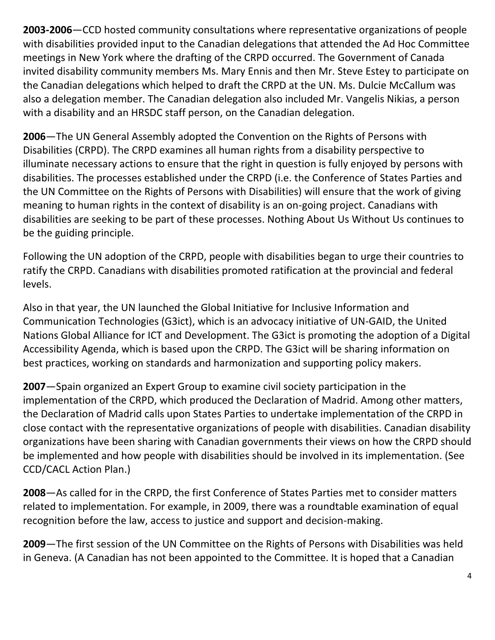**2003-2006**—CCD hosted community consultations where representative organizations of people with disabilities provided input to the Canadian delegations that attended the Ad Hoc Committee meetings in New York where the drafting of the CRPD occurred. The Government of Canada invited disability community members Ms. Mary Ennis and then Mr. Steve Estey to participate on the Canadian delegations which helped to draft the CRPD at the UN. Ms. Dulcie McCallum was also a delegation member. The Canadian delegation also included Mr. Vangelis Nikias, a person with a disability and an HRSDC staff person, on the Canadian delegation.

**2006**—The UN General Assembly adopted the Convention on the Rights of Persons with Disabilities (CRPD). The CRPD examines all human rights from a disability perspective to illuminate necessary actions to ensure that the right in question is fully enjoyed by persons with disabilities. The processes established under the CRPD (i.e. the Conference of States Parties and the UN Committee on the Rights of Persons with Disabilities) will ensure that the work of giving meaning to human rights in the context of disability is an on-going project. Canadians with disabilities are seeking to be part of these processes. Nothing About Us Without Us continues to be the guiding principle.

Following the UN adoption of the CRPD, people with disabilities began to urge their countries to ratify the CRPD. Canadians with disabilities promoted ratification at the provincial and federal levels.

Also in that year, the UN launched the Global Initiative for Inclusive Information and Communication Technologies (G3ict), which is an advocacy initiative of UN-GAID, the United Nations Global Alliance for ICT and Development. The G3ict is promoting the adoption of a Digital Accessibility Agenda, which is based upon the CRPD. The G3ict will be sharing information on best practices, working on standards and harmonization and supporting policy makers.

**2007**—Spain organized an Expert Group to examine civil society participation in the implementation of the CRPD, which produced the Declaration of Madrid. Among other matters, the Declaration of Madrid calls upon States Parties to undertake implementation of the CRPD in close contact with the representative organizations of people with disabilities. Canadian disability organizations have been sharing with Canadian governments their views on how the CRPD should be implemented and how people with disabilities should be involved in its implementation. (See CCD/CACL Action Plan.)

**2008**—As called for in the CRPD, the first Conference of States Parties met to consider matters related to implementation. For example, in 2009, there was a roundtable examination of equal recognition before the law, access to justice and support and decision-making.

**2009**—The first session of the UN Committee on the Rights of Persons with Disabilities was held in Geneva. (A Canadian has not been appointed to the Committee. It is hoped that a Canadian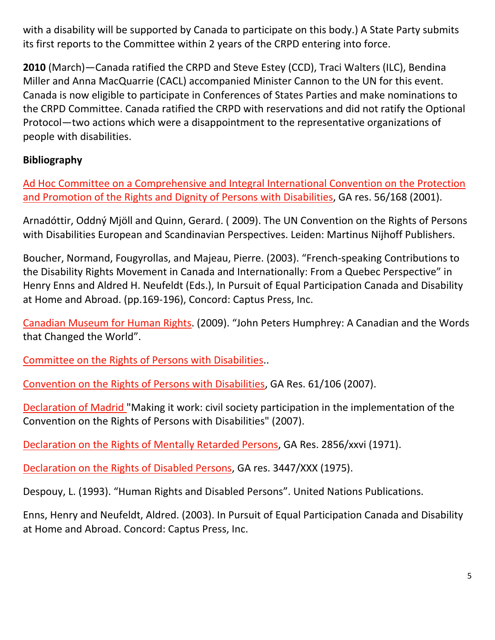with a disability will be supported by Canada to participate on this body.) A State Party submits its first reports to the Committee within 2 years of the CRPD entering into force.

**2010** (March)—Canada ratified the CRPD and Steve Estey (CCD), Traci Walters (ILC), Bendina Miller and Anna MacQuarrie (CACL) accompanied Minister Cannon to the UN for this event. Canada is now eligible to participate in Conferences of States Parties and make nominations to the CRPD Committee. Canada ratified the CRPD with reservations and did not ratify the Optional Protocol—two actions which were a disappointment to the representative organizations of people with disabilities.

#### **Bibliography**

[Ad Hoc Committee on a Comprehensive and Integral International Convention on the Protection](http://www.un.org/esa/socdev/enable/rights/adhoccom.htm%3e)  [and Promotion of the Rights and Dignity of Persons with Disabilities,](http://www.un.org/esa/socdev/enable/rights/adhoccom.htm%3e) GA res. 56/168 (2001).

Arnadóttir, Oddný Mjöll and Quinn, Gerard. ( 2009). The UN Convention on the Rights of Persons with Disabilities European and Scandinavian Perspectives. Leiden: Martinus Nijhoff Publishers.

Boucher, Normand, Fougyrollas, and Majeau, Pierre. (2003). "French-speaking Contributions to the Disability Rights Movement in Canada and Internationally: From a Quebec Perspective" in Henry Enns and Aldred H. Neufeldt (Eds.), In Pursuit of Equal Participation Canada and Disability at Home and Abroad. (pp.169-196), Concord: Captus Press, Inc.

[Canadian Museum for Human Rights](http://humanrightsmuseum.ca/exhibits/jph/). (2009). "John Peters Humphrey: A Canadian and the Words that Changed the World".

[Committee on the Rights of Persons with Disabilities.](http://www.ohchr.org/EN/HRBodies/CRPD/Pages/CRPDIndex.aspx.).

[Convention on the Rights of Persons with Disabilities,](http://:www.un.org/disabilities/convention/conventionfull.shtml) GA Res. 61/106 (2007).

[Declaration of Madrid "](http://www.un.org/disabilities/default.asp?id=359)Making it work: civil society participation in the implementation of the Convention on the Rights of Persons with Disabilities" (2007).

[Declaration on the Rights of Mentally Retarded Persons,](http://www2.ohchr.org/english/law/res2856.htm) GA Res. 2856/xxvi (1971).

[Declaration on the Rights of Disabled Persons,](http://www2.ohchr.org/english/law/res3447.htm) GA res. 3447/XXX (1975).

Despouy, L. (1993). "Human Rights and Disabled Persons". United Nations Publications.

Enns, Henry and Neufeldt, Aldred. (2003). In Pursuit of Equal Participation Canada and Disability at Home and Abroad. Concord: Captus Press, Inc.